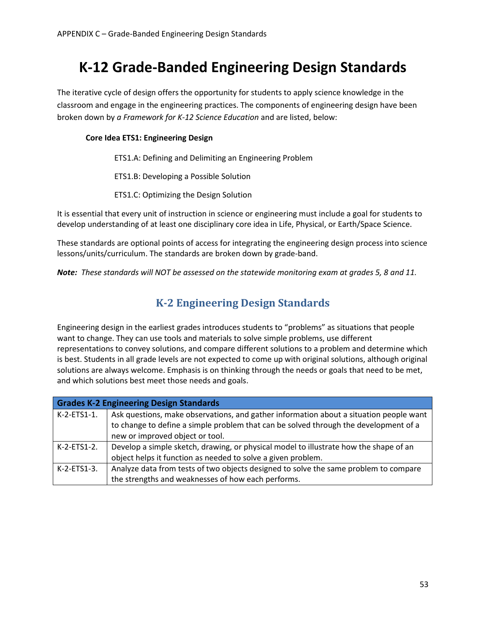# **K-12 Grade-Banded Engineering Design Standards**

The iterative cycle of design offers the opportunity for students to apply science knowledge in the classroom and engage in the engineering practices. The components of engineering design have been broken down by *a Framework for K-12 Science Education* and are listed, below:

#### **Core Idea ETS1: Engineering Design**

ETS1.A: Defining and Delimiting an Engineering Problem

ETS1.B: Developing a Possible Solution

ETS1.C: Optimizing the Design Solution

It is essential that every unit of instruction in science or engineering must include a goal for students to develop understanding of at least one disciplinary core idea in Life, Physical, or Earth/Space Science.

These standards are optional points of access for integrating the engineering design process into science lessons/units/curriculum. The standards are broken down by grade-band.

*Note: These standards will NOT be assessed on the statewide monitoring exam at grades 5, 8 and 11.* 

### **K-2 Engineering Design Standards**

Engineering design in the earliest grades introduces students to "problems" as situations that people want to change. They can use tools and materials to solve simple problems, use different representations to convey solutions, and compare different solutions to a problem and determine which is best. Students in all grade levels are not expected to come up with original solutions, although original solutions are always welcome. Emphasis is on thinking through the needs or goals that need to be met, and which solutions best meet those needs and goals.

| <b>Grades K-2 Engineering Design Standards</b> |                                                                                        |  |
|------------------------------------------------|----------------------------------------------------------------------------------------|--|
| K-2-ETS1-1.                                    | Ask questions, make observations, and gather information about a situation people want |  |
|                                                | to change to define a simple problem that can be solved through the development of a   |  |
|                                                | new or improved object or tool.                                                        |  |
| K-2-ETS1-2.                                    | Develop a simple sketch, drawing, or physical model to illustrate how the shape of an  |  |
|                                                | object helps it function as needed to solve a given problem.                           |  |
| $K-2$ -ETS1-3.                                 | Analyze data from tests of two objects designed to solve the same problem to compare   |  |
|                                                | the strengths and weaknesses of how each performs.                                     |  |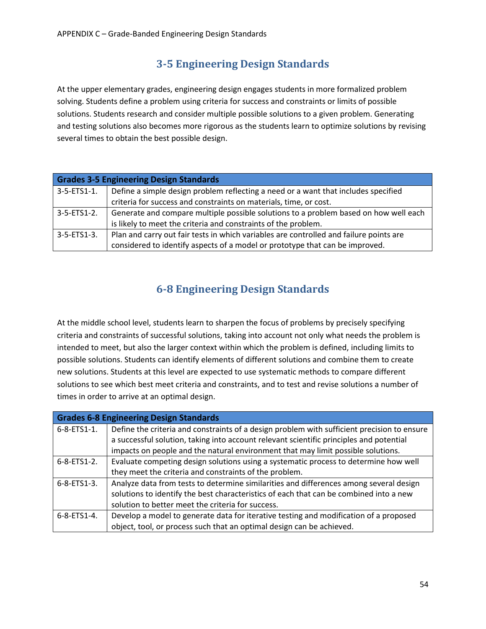### **3-5 Engineering Design Standards**

At the upper elementary grades, engineering design engages students in more formalized problem solving. Students define a problem using criteria for success and constraints or limits of possible solutions. Students research and consider multiple possible solutions to a given problem. Generating and testing solutions also becomes more rigorous as the students learn to optimize solutions by revising several times to obtain the best possible design.

| <b>Grades 3-5 Engineering Design Standards</b> |                                                                                        |  |
|------------------------------------------------|----------------------------------------------------------------------------------------|--|
| $3-5-ETS1-1.$                                  | Define a simple design problem reflecting a need or a want that includes specified     |  |
|                                                | criteria for success and constraints on materials, time, or cost.                      |  |
| 3-5-ETS1-2.                                    | Generate and compare multiple possible solutions to a problem based on how well each   |  |
|                                                | is likely to meet the criteria and constraints of the problem.                         |  |
| $3 - 5 - ETS1 - 3$ .                           | Plan and carry out fair tests in which variables are controlled and failure points are |  |
|                                                | considered to identify aspects of a model or prototype that can be improved.           |  |

#### **6-8 Engineering Design Standards**

At the middle school level, students learn to sharpen the focus of problems by precisely specifying criteria and constraints of successful solutions, taking into account not only what needs the problem is intended to meet, but also the larger context within which the problem is defined, including limits to possible solutions. Students can identify elements of different solutions and combine them to create new solutions. Students at this level are expected to use systematic methods to compare different solutions to see which best meet criteria and constraints, and to test and revise solutions a number of times in order to arrive at an optimal design.

| <b>Grades 6-8 Engineering Design Standards</b> |                                                                                             |  |
|------------------------------------------------|---------------------------------------------------------------------------------------------|--|
| $6 - 8 - ETS1 - 1.$                            | Define the criteria and constraints of a design problem with sufficient precision to ensure |  |
|                                                | a successful solution, taking into account relevant scientific principles and potential     |  |
|                                                | impacts on people and the natural environment that may limit possible solutions.            |  |
| $6 - 8 - ETS1 - 2$ .                           | Evaluate competing design solutions using a systematic process to determine how well        |  |
|                                                | they meet the criteria and constraints of the problem.                                      |  |
| $6 - 8 - ETS1 - 3$ .                           | Analyze data from tests to determine similarities and differences among several design      |  |
|                                                | solutions to identify the best characteristics of each that can be combined into a new      |  |
|                                                | solution to better meet the criteria for success.                                           |  |
| $6 - 8 - ETS1 - 4$ .                           | Develop a model to generate data for iterative testing and modification of a proposed       |  |
|                                                | object, tool, or process such that an optimal design can be achieved.                       |  |